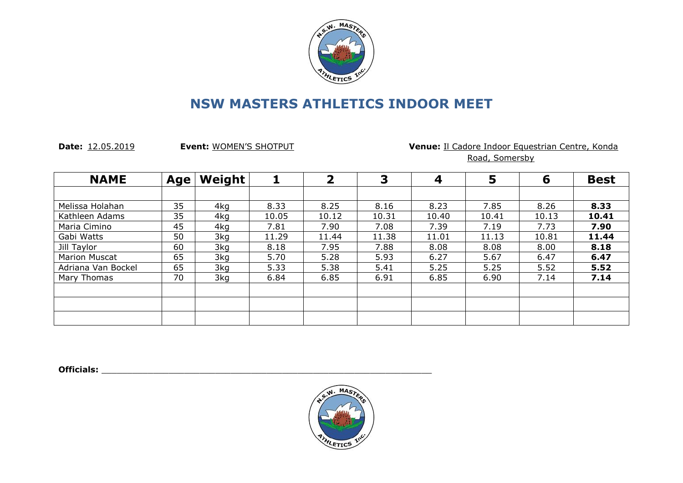

**Date:** 12.05.2019 **Event:** WOMEN'S SHOTPUT **Venue:** Il Cadore Indoor Equestrian Centre, Konda Road, Somersby

| <b>NAME</b>          | Age | Weight |       | $\overline{\mathbf{2}}$ | 3     | 4     | 5     | 6     | <b>Best</b> |
|----------------------|-----|--------|-------|-------------------------|-------|-------|-------|-------|-------------|
|                      |     |        |       |                         |       |       |       |       |             |
| Melissa Holahan      | 35  | 4kg    | 8.33  | 8.25                    | 8.16  | 8.23  | 7.85  | 8.26  | 8.33        |
| Kathleen Adams       | 35  | 4kg    | 10.05 | 10.12                   | 10.31 | 10.40 | 10.41 | 10.13 | 10.41       |
| Maria Cimino         | 45  | 4kg    | 7.81  | 7.90                    | 7.08  | 7.39  | 7.19  | 7.73  | 7.90        |
| Gabi Watts           | 50  | 3kg    | 11.29 | 11.44                   | 11.38 | 11.01 | 11.13 | 10.81 | 11.44       |
| Jill Taylor          | 60  | 3kg    | 8.18  | 7.95                    | 7.88  | 8.08  | 8.08  | 8.00  | 8.18        |
| <b>Marion Muscat</b> | 65  | 3kg    | 5.70  | 5.28                    | 5.93  | 6.27  | 5.67  | 6.47  | 6.47        |
| Adriana Van Bockel   | 65  | 3kg    | 5.33  | 5.38                    | 5.41  | 5.25  | 5.25  | 5.52  | 5.52        |
| Mary Thomas          | 70  | 3kg    | 6.84  | 6.85                    | 6.91  | 6.85  | 6.90  | 7.14  | 7.14        |
|                      |     |        |       |                         |       |       |       |       |             |
|                      |     |        |       |                         |       |       |       |       |             |
|                      |     |        |       |                         |       |       |       |       |             |

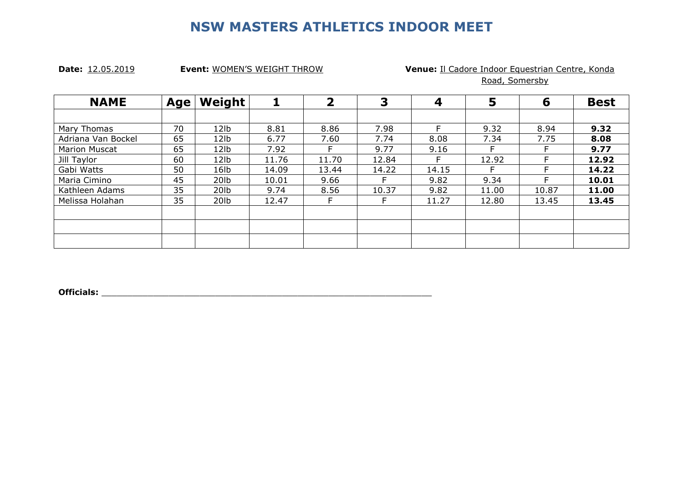### **Date:** 12.05.2019 **Event:** WOMEN'S WEIGHT THROW **Venue:** Il Cadore Indoor Equestrian Centre, Konda Road, Somersby

| <b>NAME</b>          | Age | Weight           |       | $\overline{\mathbf{2}}$ | 3     | 4     | 5     | 6     | <b>Best</b> |
|----------------------|-----|------------------|-------|-------------------------|-------|-------|-------|-------|-------------|
|                      |     |                  |       |                         |       |       |       |       |             |
| Mary Thomas          | 70  | 12 <sub>1b</sub> | 8.81  | 8.86                    | 7.98  | E.    | 9.32  | 8.94  | 9.32        |
| Adriana Van Bockel   | 65  | 12 <sub>1b</sub> | 6.77  | 7.60                    | 7.74  | 8.08  | 7.34  | 7.75  | 8.08        |
| <b>Marion Muscat</b> | 65  | 12 <sub>1b</sub> | 7.92  | F.                      | 9.77  | 9.16  |       | F     | 9.77        |
| Jill Taylor          | 60  | 12 <sub>1b</sub> | 11.76 | 11.70                   | 12.84 | F.    | 12.92 | F     | 12.92       |
| Gabi Watts           | 50  | 16 <sub>lb</sub> | 14.09 | 13.44                   | 14.22 | 14.15 |       | E.    | 14.22       |
| Maria Cimino         | 45  | 20 <sub>lb</sub> | 10.01 | 9.66                    |       | 9.82  | 9.34  |       | 10.01       |
| Kathleen Adams       | 35  | 20 <sub>lb</sub> | 9.74  | 8.56                    | 10.37 | 9.82  | 11.00 | 10.87 | 11.00       |
| Melissa Holahan      | 35  | 20lb             | 12.47 | F.                      |       | 11.27 | 12.80 | 13.45 | 13.45       |
|                      |     |                  |       |                         |       |       |       |       |             |
|                      |     |                  |       |                         |       |       |       |       |             |
|                      |     |                  |       |                         |       |       |       |       |             |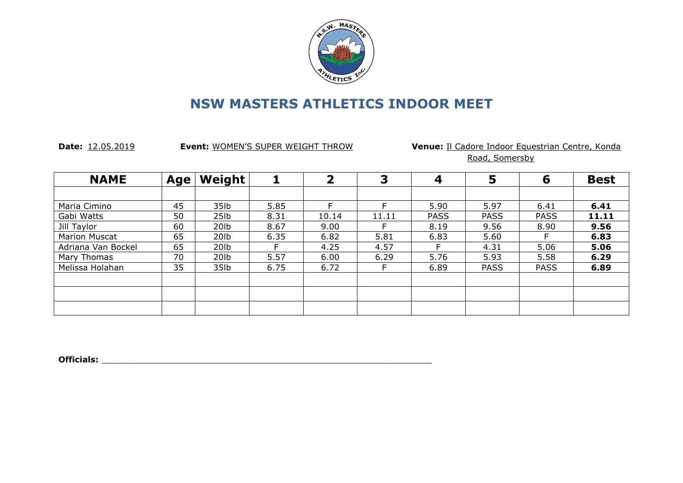

Date: 12.05.2019 **Event:** WOMEN'S SUPER WEIGHT THROW **Venue:** Il Cadore Indoor Equestrian Centre, Konda Road, Somersby

| <b>NAME</b>          | <b>Age</b> | Weight           |      | $\overline{\mathbf{2}}$ | 3     | 4           | 5           | 6           | <b>Best</b> |
|----------------------|------------|------------------|------|-------------------------|-------|-------------|-------------|-------------|-------------|
|                      |            |                  |      |                         |       |             |             |             |             |
| Maria Cimino         | 45         | 35lb             | 5.85 |                         |       | 5.90        | 5.97        | 6.41        | 6.41        |
| Gabi Watts           | 50         | 25 <sub>1b</sub> | 8.31 | 10.14                   | 11.11 | <b>PASS</b> | <b>PASS</b> | <b>PASS</b> | 11.11       |
| Jill Taylor          | 60         | 20 <sub>lb</sub> | 8.67 | 9.00                    |       | 8.19        | 9.56        | 8.90        | 9.56        |
| <b>Marion Muscat</b> | 65         | 20lb             | 6.35 | 6.82                    | 5.81  | 6.83        | 5.60        |             | 6.83        |
| Adriana Van Bockel   | 65         | 20lb             |      | 4.25                    | 4.57  |             | 4.31        | 5.06        | 5.06        |
| Mary Thomas          | 70         | 20 <sub>lb</sub> | 5.57 | 6.00                    | 6.29  | 5.76        | 5.93        | 5.58        | 6.29        |
| Melissa Holahan      | 35         | 35lb             | 6.75 | 6.72                    |       | 6.89        | <b>PASS</b> | <b>PASS</b> | 6.89        |
|                      |            |                  |      |                         |       |             |             |             |             |
|                      |            |                  |      |                         |       |             |             |             |             |
|                      |            |                  |      |                         |       |             |             |             |             |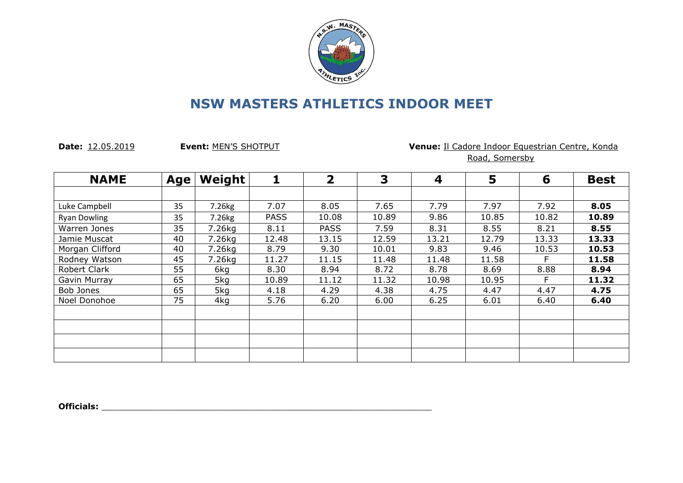

### **Date:** 12.05.2019 **Event:** MEN'S SHOTPUT **Venue:** Il Cadore Indoor Equestrian Centre, Konda Road, Somersby

| <b>NAME</b>         | Age | <b>Weight</b>      |             | $\overline{2}$ | 3     | 4     | 5     | 6     | <b>Best</b> |
|---------------------|-----|--------------------|-------------|----------------|-------|-------|-------|-------|-------------|
|                     |     |                    |             |                |       |       |       |       |             |
| Luke Campbell       | 35  | 7.26kg             | 7.07        | 8.05           | 7.65  | 7.79  | 7.97  | 7.92  | 8.05        |
| <b>Ryan Dowling</b> | 35  | 7.26 <sub>kg</sub> | <b>PASS</b> | 10.08          | 10.89 | 9.86  | 10.85 | 10.82 | 10.89       |
| Warren Jones        | 35  | 7.26kg             | 8.11        | <b>PASS</b>    | 7.59  | 8.31  | 8.55  | 8.21  | 8.55        |
| Jamie Muscat        | 40  | 7.26kg             | 12.48       | 13.15          | 12.59 | 13.21 | 12.79 | 13.33 | 13.33       |
| Morgan Clifford     | 40  | 7.26kg             | 8.79        | 9.30           | 10.01 | 9.83  | 9.46  | 10.53 | 10.53       |
| Rodney Watson       | 45  | 7.26kg             | 11.27       | 11.15          | 11.48 | 11.48 | 11.58 | F     | 11.58       |
| Robert Clark        | 55  | 6kg                | 8.30        | 8.94           | 8.72  | 8.78  | 8.69  | 8.88  | 8.94        |
| Gavin Murray        | 65  | 5kg                | 10.89       | 11.12          | 11.32 | 10.98 | 10.95 | E     | 11.32       |
| Bob Jones           | 65  | 5kg                | 4.18        | 4.29           | 4.38  | 4.75  | 4.47  | 4.47  | 4.75        |
| Noel Donohoe        | 75  | 4kg                | 5.76        | 6.20           | 6.00  | 6.25  | 6.01  | 6.40  | 6.40        |
|                     |     |                    |             |                |       |       |       |       |             |
|                     |     |                    |             |                |       |       |       |       |             |
|                     |     |                    |             |                |       |       |       |       |             |
|                     |     |                    |             |                |       |       |       |       |             |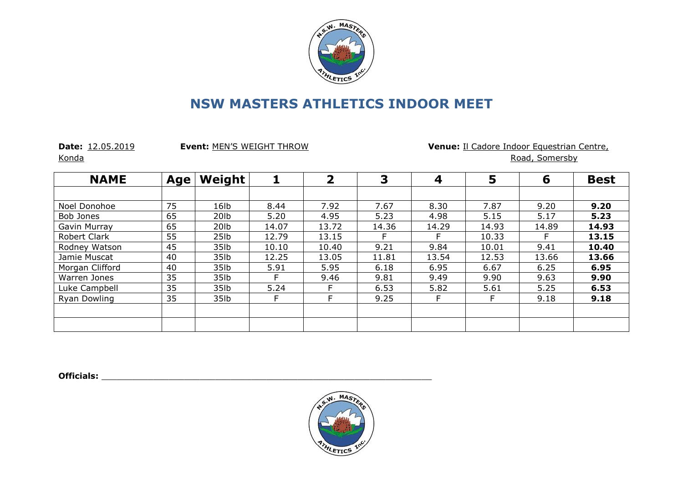

Konda **Road, Somersby** 

**Date:** 12.05.2019 **Event:** MEN'S WEIGHT THROW **Venue:** Il Cadore Indoor Equestrian Centre,

**NAME Age Weight 1 2 3 4 5 6 Best** Noel Donohoe 75 16lb 8.44 7.92 7.67 8.30 7.87 9.20 **9.20** Bob Jones | 65 | 20lb | 5.20 | 4.95 | 5.23 | 4.98 | 5.15 | 5.17 | **5.23** Gavin Murray 65 20lb 14.07 13.72 14.36 14.29 14.93 14.89 **14.93** Robert Clark 55 25lb 12.79 13.15 F F 10.33 F **13.15** Rodney Watson 45 35lb 10.10 10.40 9.21 9.84 10.01 9.41 **10.40** Jamie Muscat | 40 | 35lb | 12.25 | 13.05 | 13.54 | 12.53 | 13.66 | **13.66** Morgan Clifford | 40 | 35lb | 5.91 | 5.95 | 6.18 | 6.95 | 6.67 | 6.25 | **6.95** Warren Jones 35 35lb F 9.46 9.81 9.49 9.90 9.63 **9.90** Luke Campbell 35 35lb 5.24 F 6.53 5.82 5.61 5.25 **6.53** Ryan Dowling | 35 | 35lb | F | F | 9.25 | F | F | 9.18 | **9.18** 

**Officials:**